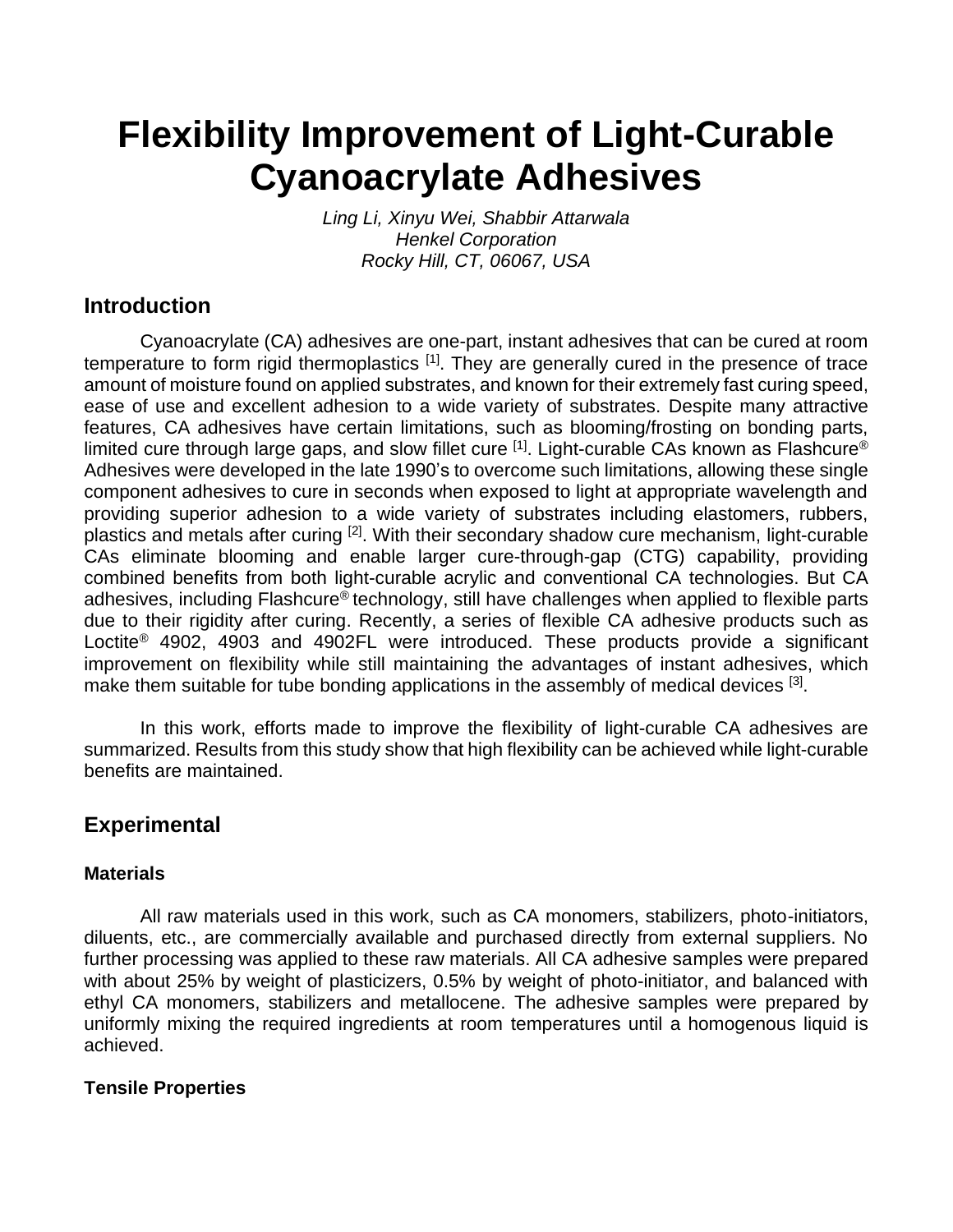# **Flexibility Improvement of Light-Curable Cyanoacrylate Adhesives**

*Ling Li, Xinyu Wei, Shabbir Attarwala Henkel Corporation Rocky Hill, CT, 06067, USA*

## **Introduction**

Cyanoacrylate (CA) adhesives are one-part, instant adhesives that can be cured at room temperature to form rigid thermoplastics [1]. They are generally cured in the presence of trace amount of moisture found on applied substrates, and known for their extremely fast curing speed, ease of use and excellent adhesion to a wide variety of substrates. Despite many attractive features, CA adhesives have certain limitations, such as blooming/frosting on bonding parts, limited cure through large gaps, and slow fillet cure <sup>[1]</sup>. Light-curable CAs known as Flashcure® Adhesives were developed in the late 1990's to overcome such limitations, allowing these single component adhesives to cure in seconds when exposed to light at appropriate wavelength and providing superior adhesion to a wide variety of substrates including elastomers, rubbers, plastics and metals after curing [2]. With their secondary shadow cure mechanism, light-curable CAs eliminate blooming and enable larger cure-through-gap (CTG) capability, providing combined benefits from both light-curable acrylic and conventional CA technologies. But CA adhesives, including Flashcure® technology, still have challenges when applied to flexible parts due to their rigidity after curing. Recently, a series of flexible CA adhesive products such as Loctite<sup>®</sup> 4902, 4903 and 4902FL were introduced. These products provide a significant improvement on flexibility while still maintaining the advantages of instant adhesives, which make them suitable for tube bonding applications in the assembly of medical devices <sup>[3]</sup>.

In this work, efforts made to improve the flexibility of light-curable CA adhesives are summarized. Results from this study show that high flexibility can be achieved while light-curable benefits are maintained.

# **Experimental**

## **Materials**

All raw materials used in this work, such as CA monomers, stabilizers, photo-initiators, diluents, etc., are commercially available and purchased directly from external suppliers. No further processing was applied to these raw materials. All CA adhesive samples were prepared with about 25% by weight of plasticizers, 0.5% by weight of photo-initiator, and balanced with ethyl CA monomers, stabilizers and metallocene. The adhesive samples were prepared by uniformly mixing the required ingredients at room temperatures until a homogenous liquid is achieved.

## **Tensile Properties**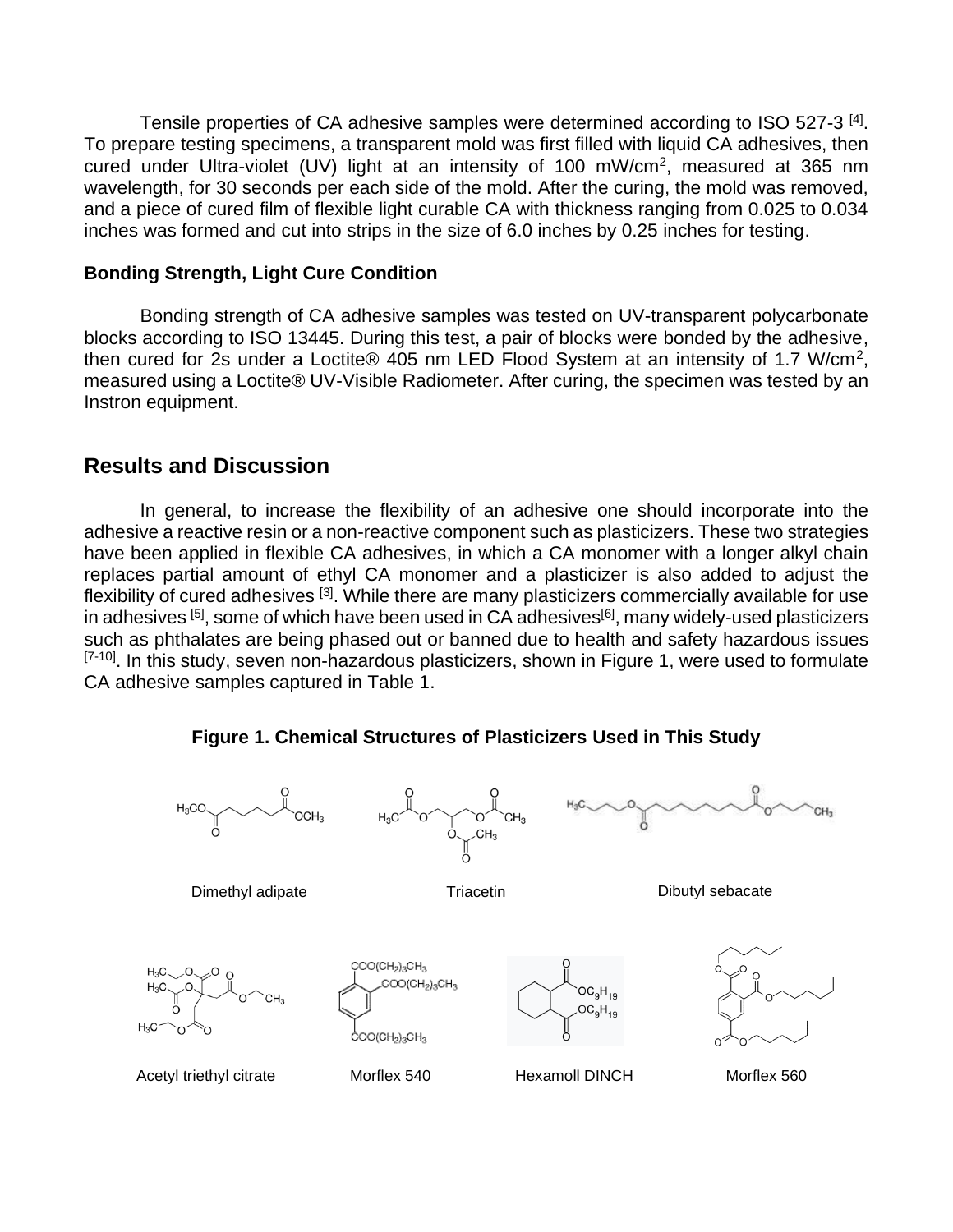Tensile properties of CA adhesive samples were determined according to ISO 527-3<sup>[4]</sup>. To prepare testing specimens, a transparent mold was first filled with liquid CA adhesives, then cured under Ultra-violet (UV) light at an intensity of 100 mW/cm<sup>2</sup>, measured at 365 nm wavelength, for 30 seconds per each side of the mold. After the curing, the mold was removed, and a piece of cured film of flexible light curable CA with thickness ranging from 0.025 to 0.034 inches was formed and cut into strips in the size of 6.0 inches by 0.25 inches for testing.

#### **Bonding Strength, Light Cure Condition**

Bonding strength of CA adhesive samples was tested on UV-transparent polycarbonate blocks according to ISO 13445. During this test, a pair of blocks were bonded by the adhesive, then cured for 2s under a Loctite® 405 nm LED Flood System at an intensity of 1.7 W/cm<sup>2</sup>, measured using a Loctite® UV-Visible Radiometer. After curing, the specimen was tested by an Instron equipment.

#### **Results and Discussion**

In general, to increase the flexibility of an adhesive one should incorporate into the adhesive a reactive resin or a non-reactive component such as plasticizers. These two strategies have been applied in flexible CA adhesives, in which a CA monomer with a longer alkyl chain replaces partial amount of ethyl CA monomer and a plasticizer is also added to adjust the flexibility of cured adhesives [3]. While there are many plasticizers commercially available for use in adhesives [5], some of which have been used in CA adhesives<sup>[6]</sup>, many widely-used plasticizers such as phthalates are being phased out or banned due to health and safety hazardous issues <sup>[7-10]</sup>. In this study, seven non-hazardous plasticizers, shown in Figure 1, were used to formulate CA adhesive samples captured in Table 1.



**Figure 1. Chemical Structures of Plasticizers Used in This Study**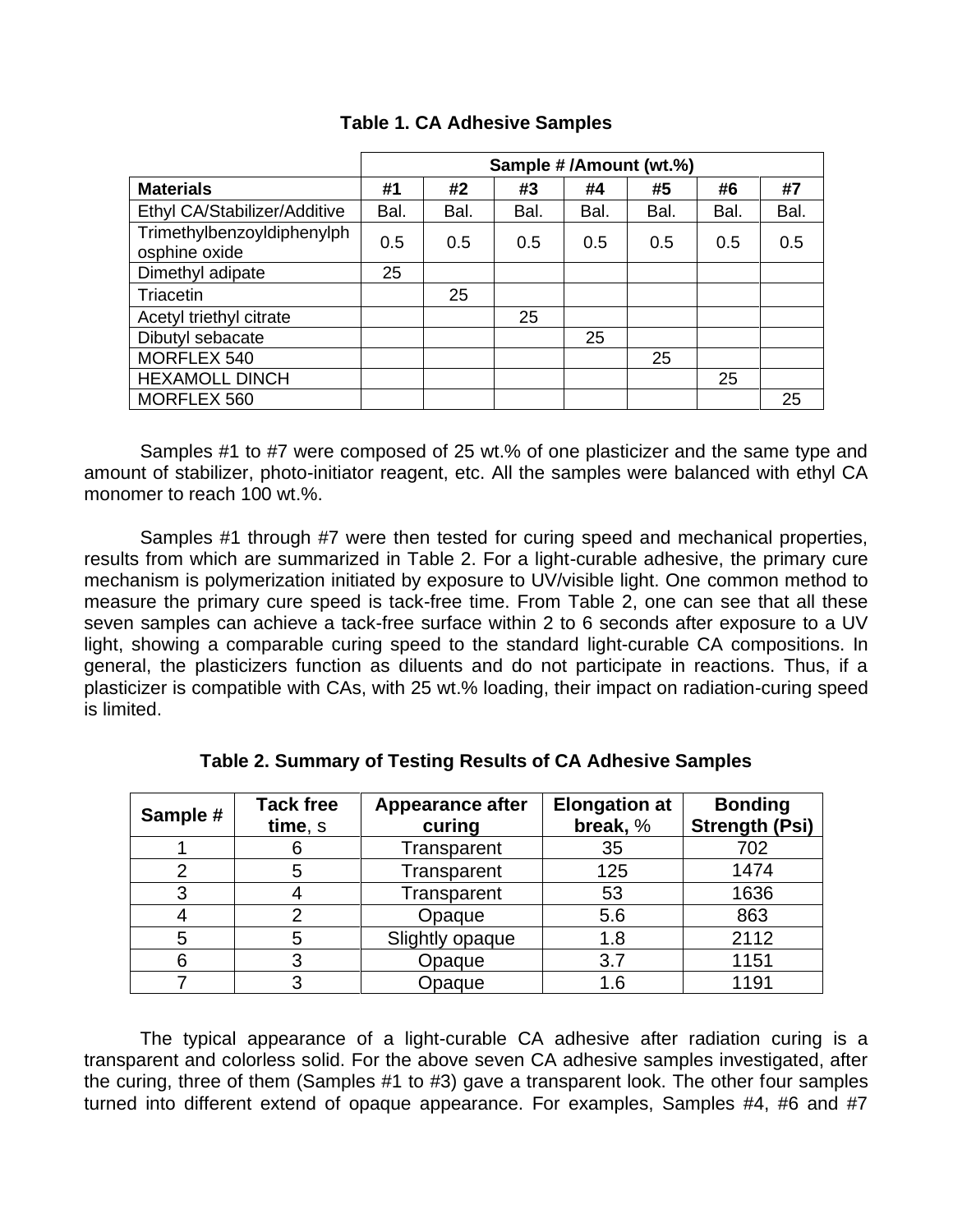|                                             | Sample #/Amount (wt.%) |      |      |      |      |      |      |
|---------------------------------------------|------------------------|------|------|------|------|------|------|
| <b>Materials</b>                            | #1                     | #2   | #3   | #4   | #5   | #6   | #7   |
| Ethyl CA/Stabilizer/Additive                | Bal.                   | Bal. | Bal. | Bal. | Bal. | Bal. | Bal. |
| Trimethylbenzoyldiphenylph<br>osphine oxide | 0.5                    | 0.5  | 0.5  | 0.5  | 0.5  | 0.5  | 0.5  |
| Dimethyl adipate                            | 25                     |      |      |      |      |      |      |
| Triacetin                                   |                        | 25   |      |      |      |      |      |
| Acetyl triethyl citrate                     |                        |      | 25   |      |      |      |      |
| Dibutyl sebacate                            |                        |      |      | 25   |      |      |      |
| MORFLEX 540                                 |                        |      |      |      | 25   |      |      |
| <b>HEXAMOLL DINCH</b>                       |                        |      |      |      |      | 25   |      |
| MORFLEX 560                                 |                        |      |      |      |      |      | 25   |

## **Table 1. CA Adhesive Samples**

Samples #1 to #7 were composed of 25 wt.% of one plasticizer and the same type and amount of stabilizer, photo-initiator reagent, etc. All the samples were balanced with ethyl CA monomer to reach 100 wt.%.

Samples #1 through #7 were then tested for curing speed and mechanical properties, results from which are summarized in Table 2. For a light-curable adhesive, the primary cure mechanism is polymerization initiated by exposure to UV/visible light. One common method to measure the primary cure speed is tack-free time. From Table 2, one can see that all these seven samples can achieve a tack-free surface within 2 to 6 seconds after exposure to a UV light, showing a comparable curing speed to the standard light-curable CA compositions. In general, the plasticizers function as diluents and do not participate in reactions. Thus, if a plasticizer is compatible with CAs, with 25 wt.% loading, their impact on radiation-curing speed is limited.

| Sample # | <b>Tack free</b><br>time, s | <b>Appearance after</b><br>curing | <b>Elongation at</b><br>break, % | <b>Bonding</b><br><b>Strength (Psi)</b> |  |
|----------|-----------------------------|-----------------------------------|----------------------------------|-----------------------------------------|--|
|          | 6                           | Transparent                       | 35                               | 702                                     |  |
|          | 5                           | Transparent                       | 125                              | 1474                                    |  |
| 3        |                             | Transparent                       | 53                               | 1636                                    |  |
|          |                             | Opaque                            | 5.6                              | 863                                     |  |
| 5        | 5                           | Slightly opaque                   | 1.8                              | 2112                                    |  |
| 6        |                             | Opaque                            | 3.7                              | 1151                                    |  |
|          |                             | Opaque                            | 1.6                              | 1191                                    |  |

**Table 2. Summary of Testing Results of CA Adhesive Samples**

The typical appearance of a light-curable CA adhesive after radiation curing is a transparent and colorless solid. For the above seven CA adhesive samples investigated, after the curing, three of them (Samples #1 to #3) gave a transparent look. The other four samples turned into different extend of opaque appearance. For examples, Samples #4, #6 and #7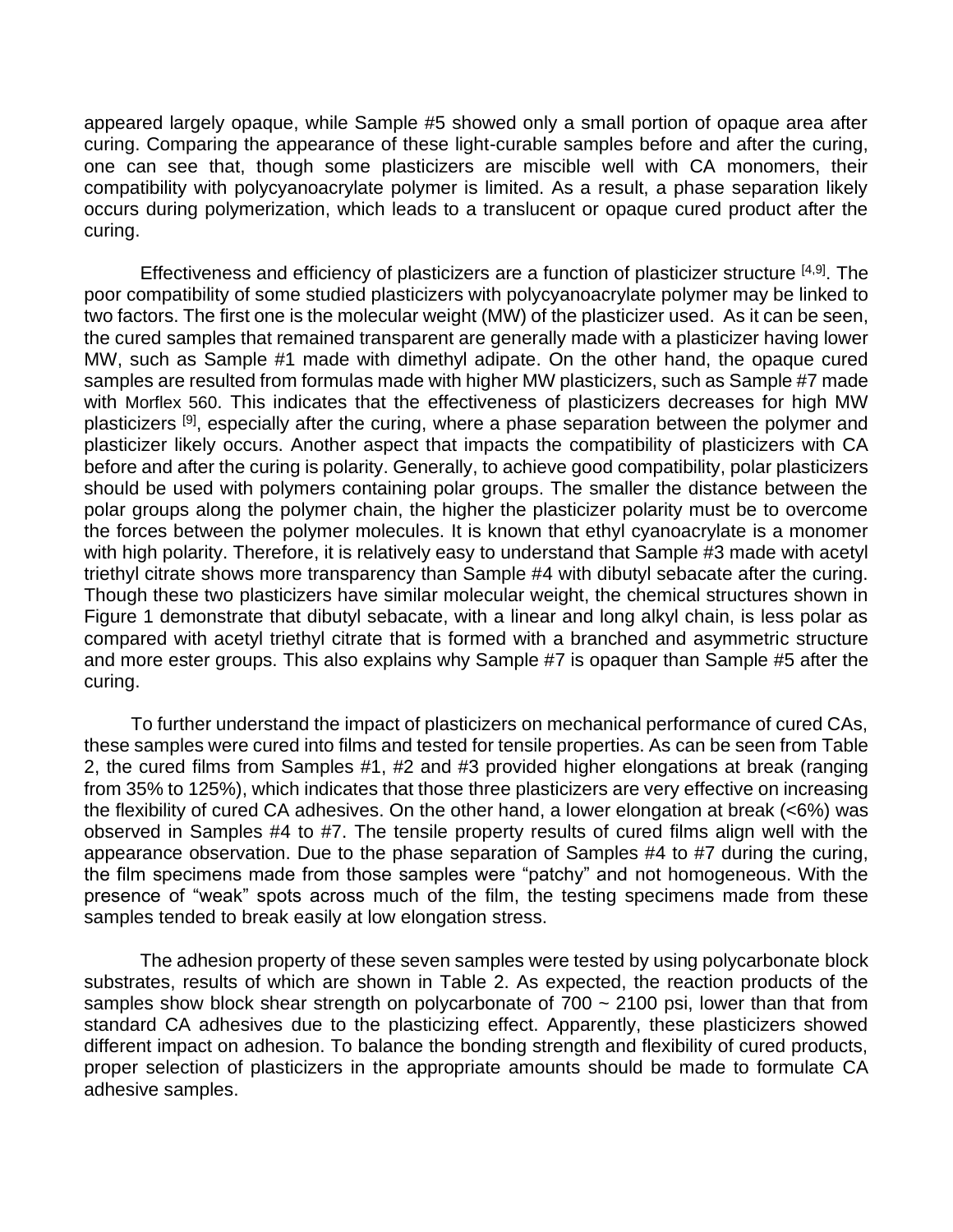appeared largely opaque, while Sample #5 showed only a small portion of opaque area after curing. Comparing the appearance of these light-curable samples before and after the curing, one can see that, though some plasticizers are miscible well with CA monomers, their compatibility with polycyanoacrylate polymer is limited. As a result, a phase separation likely occurs during polymerization, which leads to a translucent or opaque cured product after the curing.

Effectiveness and efficiency of plasticizers are a function of plasticizer structure [4,9]. The poor compatibility of some studied plasticizers with polycyanoacrylate polymer may be linked to two factors. The first one is the molecular weight (MW) of the plasticizer used. As it can be seen, the cured samples that remained transparent are generally made with a plasticizer having lower MW, such as Sample #1 made with dimethyl adipate. On the other hand, the opaque cured samples are resulted from formulas made with higher MW plasticizers, such as Sample #7 made with Morflex 560. This indicates that the effectiveness of plasticizers decreases for high MW plasticizers <sup>[9]</sup>, especially after the curing, where a phase separation between the polymer and plasticizer likely occurs. Another aspect that impacts the compatibility of plasticizers with CA before and after the curing is polarity. Generally, to achieve good compatibility, polar plasticizers should be used with polymers containing polar groups. The smaller the distance between the polar groups along the polymer chain, the higher the plasticizer polarity must be to overcome the forces between the polymer molecules. It is known that ethyl cyanoacrylate is a monomer with high polarity. Therefore, it is relatively easy to understand that Sample #3 made with acetyl triethyl citrate shows more transparency than Sample #4 with dibutyl sebacate after the curing. Though these two plasticizers have similar molecular weight, the chemical structures shown in Figure 1 demonstrate that dibutyl sebacate, with a linear and long alkyl chain, is less polar as compared with acetyl triethyl citrate that is formed with a branched and asymmetric structure and more ester groups. This also explains why Sample #7 is opaquer than Sample #5 after the curing.

 To further understand the impact of plasticizers on mechanical performance of cured CAs, these samples were cured into films and tested for tensile properties. As can be seen from Table 2, the cured films from Samples #1, #2 and #3 provided higher elongations at break (ranging from 35% to 125%), which indicates that those three plasticizers are very effective on increasing the flexibility of cured CA adhesives. On the other hand, a lower elongation at break (<6%) was observed in Samples #4 to #7. The tensile property results of cured films align well with the appearance observation. Due to the phase separation of Samples #4 to #7 during the curing, the film specimens made from those samples were "patchy" and not homogeneous. With the presence of "weak" spots across much of the film, the testing specimens made from these samples tended to break easily at low elongation stress.

The adhesion property of these seven samples were tested by using polycarbonate block substrates, results of which are shown in Table 2. As expected, the reaction products of the samples show block shear strength on polycarbonate of 700 ~ 2100 psi, lower than that from standard CA adhesives due to the plasticizing effect. Apparently, these plasticizers showed different impact on adhesion. To balance the bonding strength and flexibility of cured products, proper selection of plasticizers in the appropriate amounts should be made to formulate CA adhesive samples.